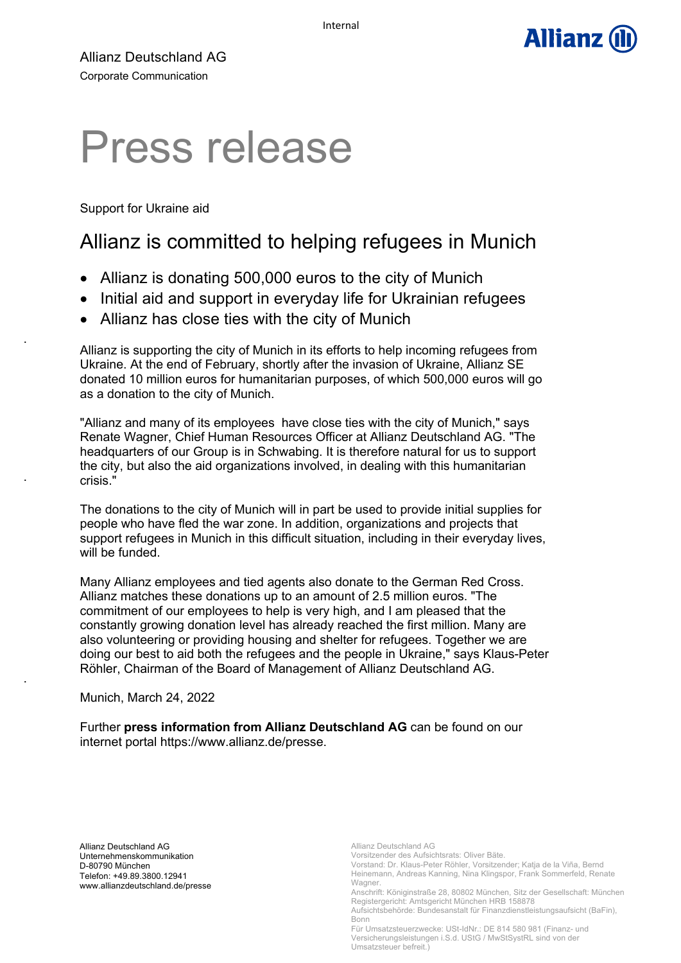

Allianz Deutschland AG Corporate Communication

# Press release

Support for Ukraine aid

.

.

.

# Allianz is committed to helping refugees in Munich

- Allianz is donating 500,000 euros to the city of Munich
- Initial aid and support in everyday life for Ukrainian refugees
- Allianz has close ties with the city of Munich

Allianz is supporting the city of Munich in its efforts to help incoming refugees from Ukraine. At the end of February, shortly after the invasion of Ukraine, Allianz SE donated 10 million euros for humanitarian purposes, of which 500,000 euros will go as a donation to the city of Munich.

"Allianz and many of its employees have close ties with the city of Munich," says Renate Wagner, Chief Human Resources Officer at Allianz Deutschland AG. "The headquarters of our Group is in Schwabing. It is therefore natural for us to support the city, but also the aid organizations involved, in dealing with this humanitarian crisis."

The donations to the city of Munich will in part be used to provide initial supplies for people who have fled the war zone. In addition, organizations and projects that support refugees in Munich in this difficult situation, including in their everyday lives, will be funded.

Many Allianz employees and tied agents also donate to the German Red Cross. Allianz matches these donations up to an amount of 2.5 million euros. "The commitment of our employees to help is very high, and I am pleased that the constantly growing donation level has already reached the first million. Many are also volunteering or providing housing and shelter for refugees. Together we are doing our best to aid both the refugees and the people in Ukraine," says Klaus-Peter Röhler, Chairman of the Board of Management of Allianz Deutschland AG.

Munich, March 24, 2022

Further **press information from Allianz Deutschland AG** can be found on our internet portal https://www.allianz.de/presse.

Allianz Deutschland AG Unternehmenskommunikation D-80790 München Telefon: +49.89.3800.12941 www.allianzdeutschland.de/presse

Vorsitzender des Aufsichtsrats: Oliver Bäte. Vorstand: Dr. Klaus-Peter Röhler, Vorsitzender; Katja de la Viña, Bernd Heinemann, Andreas Kanning, Nina Klingspor, Frank Sommerfeld, Renate Wagner.

Allianz Deutschland AG

Anschrift: Königinstraße 28, 80802 München, Sitz der Gesellschaft: München Registergericht: Amtsgericht München HRB 158878

Aufsichtsbehörde: Bundesanstalt für Finanzdienstleistungsaufsicht (BaFin), Bonn

Für Umsatzsteuerzwecke: USt-IdNr.: DE 814 580 981 (Finanz- und Versicherungsleistungen i.S.d. UStG / MwStSystRL sind von der Umsatzsteuer befreit.)